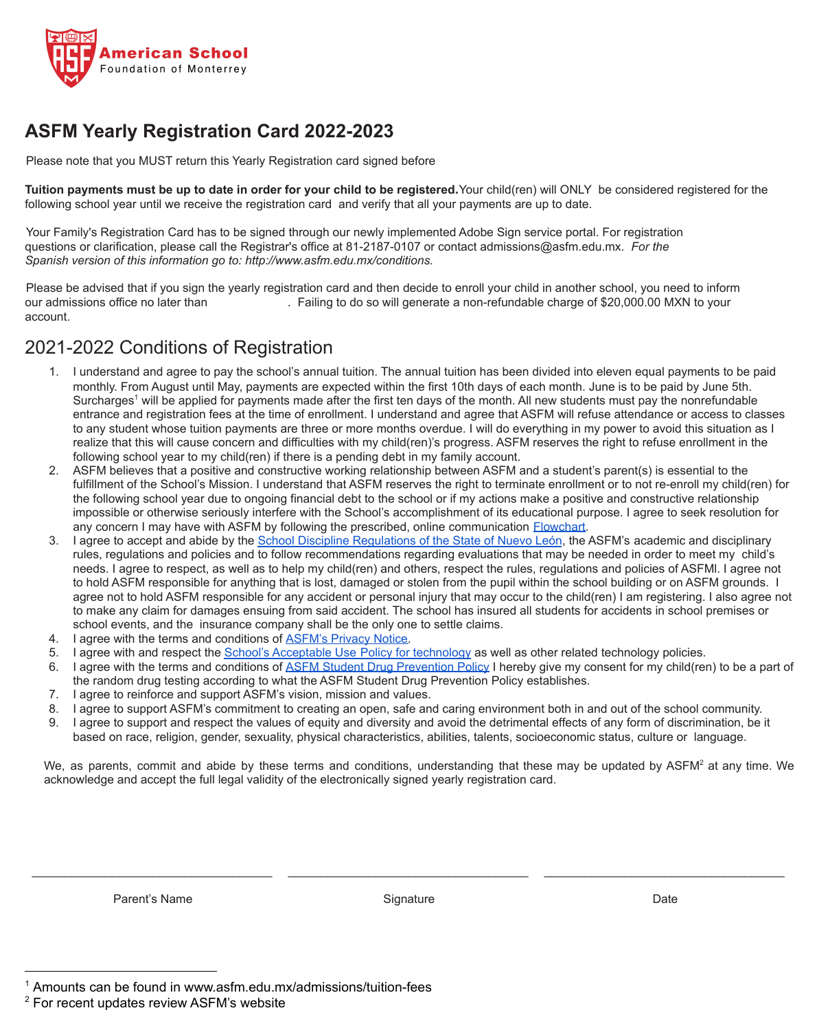

## **ASFM Yearly Registration Card 2022-2023**

Please note that you MUST return this Yearly Registration card signed before

**Tuition payments must be up to date in order for your child to be registered.**Your child(ren) will ONLY be considered registered for the following school year until we receive the registration card and verify that all your payments are up to date.

Your Family's Registration Card has to be signed through our newly implemented Adobe Sign service portal. For registration questions or clarification, please call the Registrar's office at 81-2187-0107 or contact admissions@asfm.edu.mx. *For the Spanish version of this information go to: http://www.asfm.edu.mx/conditions.*

Please be advised that if you sign the yearly registration card and then decide to enroll your child in another school, you need to inform our admissions office no later than . Failing to do so will generate a non-refundable charge of \$20,000.00 MXN to your account.

### 2021-2022 Conditions of Registration

- 1. I understand and agree to pay the school's annual tuition. The annual tuition has been divided into eleven equal payments to be paid monthly. From August until May, payments are expected within the first 10th days of each month. June is to be paid by June 5th. Surcharges<sup>1</sup> will be applied for payments made after the first ten days of the month. All new students must pay the nonrefundable entrance and registration fees at the time of enrollment. I understand and agree that ASFM will refuse attendance or access to classes to any student whose tuition payments are three or more months overdue. I will do everything in my power to avoid this situation as I realize that this will cause concern and difficulties with my child(ren)'s progress. ASFM reserves the right to refuse enrollment in the following school year to my child(ren) if there is a pending debt in my family account.
- 2. ASFM believes that a positive and constructive working relationship between ASFM and a student's parent(s) is essential to the fulfillment of the School's Mission. I understand that ASFM reserves the right to terminate enrollment or to not re-enroll my child(ren) for the following school year due to ongoing financial debt to the school or if my actions make a positive and constructive relationship impossible or otherwise seriously interfere with the School's accomplishment of its educational purpose. I agree to seek resolution for any concern I may have with ASFM by following the prescribed, online communication **Flowchart**.
- 3. I agree to accept and abide by the School Discipline [Regulations of the State of Nuevo León](https://www.nl.gob.mx/sites/default/files/reglamento_de_disciplina_escolar.pdf), the ASFM's academic and disciplinary rules, regulations and policies and to follow recommendations regarding evaluations that may be needed in order to meet my child's needs. I agree to respect, as well as to help my child(ren) and others, respect the rules, regulations and policies of ASFMl. I agree not to hold ASFM responsible for anything that is lost, damaged or stolen from the pupil within the school building or on ASFM grounds. I agree not to hold ASFM responsible for any accident or personal injury that may occur to the child(ren) I am registering. I also agree not to make any claim for damages ensuing from said accident. The school has insured all students for accidents in school premises or school events, and the insurance company shall be the only one to settle claims.
- 4. I agree with the terms and conditions of **[ASFM's Privacy](http://www.asfm.edu.mx/privacy.) Notice**.
- 5. I agree with and respect the [School's Acceptable Use](https://www.asfm.edu.mx/studentspolicy) Policy for technology as well as other related technology policies.
- 6. I agree with the terms and conditions of ASFM Student [Drug Prevention Policy](http://www.asfm.edu.mx/drugpreventionpolicy) I hereby give my consent for my child(ren) to be a part of the random drug testing according to what the ASFM Student Drug Prevention Policy establishes.
- 7. I agree to reinforce and support ASFM's vision, mission and values.
- 8. I agree to support ASFM's commitment to creating an open, safe and caring environment both in and out of the school community.
- 9. I agree to support and respect the values of equity and diversity and avoid the detrimental effects of any form of discrimination, be it based on race, religion, gender, sexuality, physical characteristics, abilities, talents, socioeconomic status, culture or language.

We, as parents, commit and abide by these terms and conditions, understanding that these may be updated by ASFM<sup>2</sup> at any time. We acknowledge and accept the full legal validity of the electronically signed yearly registration card.

Parent's Name Date Contract Contract Contract Contract Contract Contract Contract Contract Contract Contract Contract Contract Contract Contract Contract Contract Contract Contract Contract Contract Contract Contract Contr

 $\_$  , and the state of the state of the state of the state of the state of the state of the state of the state of the state of the state of the state of the state of the state of the state of the state of the state of the

<sup>1</sup> Amounts can be found in www.asfm.edu.mx/admissions/tuition-fees

<sup>&</sup>lt;sup>2</sup> For recent updates review ASFM's website